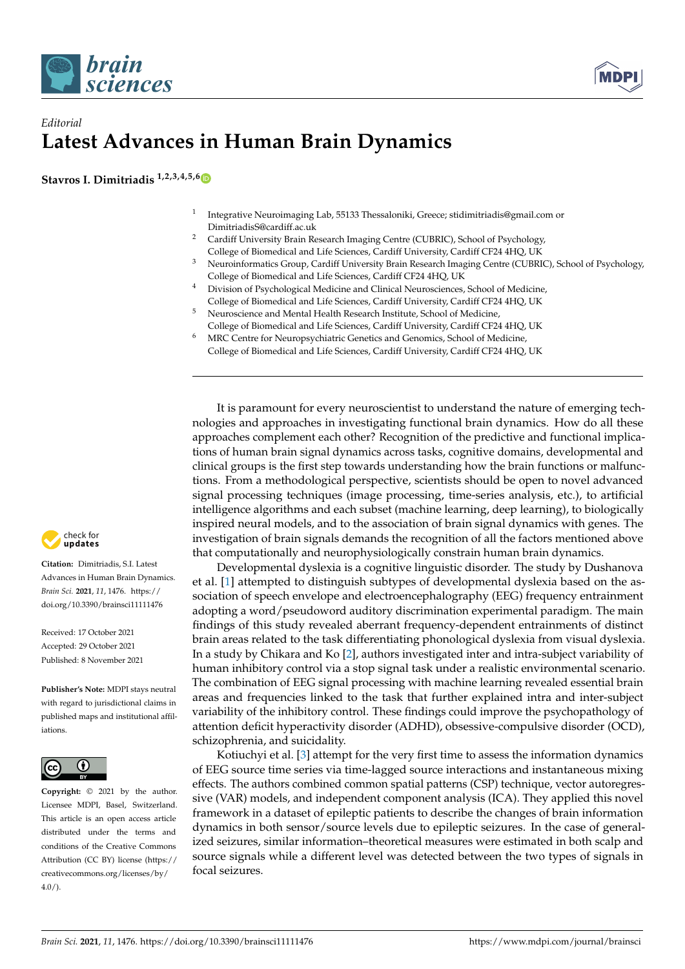



## *Editorial* **Latest Advances in Human Brain Dynamics**

**Stavros I. Dimitriadis 1,2,3,4,5,[6](https://orcid.org/0000-0002-0000-5392)**

- 1 Integrative Neuroimaging Lab, 55133 Thessaloniki, Greece; stidimitriadis@gmail.com or DimitriadisS@cardiff.ac.uk
- <sup>2</sup> Cardiff University Brain Research Imaging Centre (CUBRIC), School of Psychology, College of Biomedical and Life Sciences, Cardiff University, Cardiff CF24 4HQ, UK
- <sup>3</sup> Neuroinformatics Group, Cardiff University Brain Research Imaging Centre (CUBRIC), School of Psychology, College of Biomedical and Life Sciences, Cardiff CF24 4HQ, UK
- <sup>4</sup> Division of Psychological Medicine and Clinical Neurosciences, School of Medicine, College of Biomedical and Life Sciences, Cardiff University, Cardiff CF24 4HQ, UK
- <sup>5</sup> Neuroscience and Mental Health Research Institute, School of Medicine,
- College of Biomedical and Life Sciences, Cardiff University, Cardiff CF24 4HQ, UK
- <sup>6</sup> MRC Centre for Neuropsychiatric Genetics and Genomics, School of Medicine, College of Biomedical and Life Sciences, Cardiff University, Cardiff CF24 4HQ, UK

It is paramount for every neuroscientist to understand the nature of emerging technologies and approaches in investigating functional brain dynamics. How do all these approaches complement each other? Recognition of the predictive and functional implications of human brain signal dynamics across tasks, cognitive domains, developmental and clinical groups is the first step towards understanding how the brain functions or malfunctions. From a methodological perspective, scientists should be open to novel advanced signal processing techniques (image processing, time-series analysis, etc.), to artificial intelligence algorithms and each subset (machine learning, deep learning), to biologically inspired neural models, and to the association of brain signal dynamics with genes. The investigation of brain signals demands the recognition of all the factors mentioned above that computationally and neurophysiologically constrain human brain dynamics.

Developmental dyslexia is a cognitive linguistic disorder. The study by Dushanova et al. [\[1\]](#page-4-0) attempted to distinguish subtypes of developmental dyslexia based on the association of speech envelope and electroencephalography (EEG) frequency entrainment adopting a word/pseudoword auditory discrimination experimental paradigm. The main findings of this study revealed aberrant frequency-dependent entrainments of distinct brain areas related to the task differentiating phonological dyslexia from visual dyslexia. In a study by Chikara and Ko [\[2\]](#page-4-1), authors investigated inter and intra-subject variability of human inhibitory control via a stop signal task under a realistic environmental scenario. The combination of EEG signal processing with machine learning revealed essential brain areas and frequencies linked to the task that further explained intra and inter-subject variability of the inhibitory control. These findings could improve the psychopathology of attention deficit hyperactivity disorder (ADHD), obsessive-compulsive disorder (OCD), schizophrenia, and suicidality.

Kotiuchyi et al. [\[3\]](#page-4-2) attempt for the very first time to assess the information dynamics of EEG source time series via time-lagged source interactions and instantaneous mixing effects. The authors combined common spatial patterns (CSP) technique, vector autoregressive (VAR) models, and independent component analysis (ICA). They applied this novel framework in a dataset of epileptic patients to describe the changes of brain information dynamics in both sensor/source levels due to epileptic seizures. In the case of generalized seizures, similar information–theoretical measures were estimated in both scalp and source signals while a different level was detected between the two types of signals in focal seizures.



**Citation:** Dimitriadis, S.I. Latest Advances in Human Brain Dynamics. *Brain Sci.* **2021**, *11*, 1476. [https://](https://doi.org/10.3390/brainsci11111476) [doi.org/10.3390/brainsci11111476](https://doi.org/10.3390/brainsci11111476)

Received: 17 October 2021 Accepted: 29 October 2021 Published: 8 November 2021

**Publisher's Note:** MDPI stays neutral with regard to jurisdictional claims in published maps and institutional affiliations.



**Copyright:** © 2021 by the author. Licensee MDPI, Basel, Switzerland. This article is an open access article distributed under the terms and conditions of the Creative Commons Attribution (CC BY) license (https:/[/](https://creativecommons.org/licenses/by/4.0/) [creativecommons.org/licenses/by/](https://creativecommons.org/licenses/by/4.0/)  $4.0/$ ).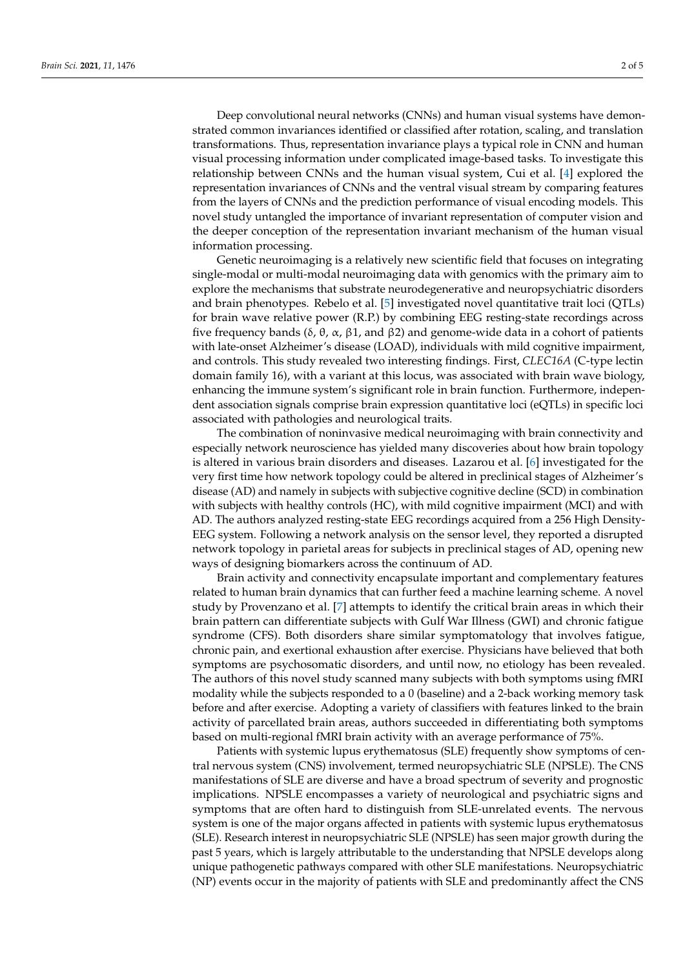Deep convolutional neural networks (CNNs) and human visual systems have demonstrated common invariances identified or classified after rotation, scaling, and translation transformations. Thus, representation invariance plays a typical role in CNN and human visual processing information under complicated image-based tasks. To investigate this relationship between CNNs and the human visual system, Cui et al. [\[4\]](#page-4-3) explored the representation invariances of CNNs and the ventral visual stream by comparing features from the layers of CNNs and the prediction performance of visual encoding models. This novel study untangled the importance of invariant representation of computer vision and the deeper conception of the representation invariant mechanism of the human visual information processing.

Genetic neuroimaging is a relatively new scientific field that focuses on integrating single-modal or multi-modal neuroimaging data with genomics with the primary aim to explore the mechanisms that substrate neurodegenerative and neuropsychiatric disorders and brain phenotypes. Rebelo et al. [\[5\]](#page-4-4) investigated novel quantitative trait loci (QTLs) for brain wave relative power (R.P.) by combining EEG resting-state recordings across five frequency bands (δ, θ, α, β1, and β2) and genome-wide data in a cohort of patients with late-onset Alzheimer's disease (LOAD), individuals with mild cognitive impairment, and controls. This study revealed two interesting findings. First, *CLEC16A* (C-type lectin domain family 16), with a variant at this locus, was associated with brain wave biology, enhancing the immune system's significant role in brain function. Furthermore, independent association signals comprise brain expression quantitative loci (eQTLs) in specific loci associated with pathologies and neurological traits.

The combination of noninvasive medical neuroimaging with brain connectivity and especially network neuroscience has yielded many discoveries about how brain topology is altered in various brain disorders and diseases. Lazarou et al. [\[6\]](#page-4-5) investigated for the very first time how network topology could be altered in preclinical stages of Alzheimer's disease (AD) and namely in subjects with subjective cognitive decline (SCD) in combination with subjects with healthy controls (HC), with mild cognitive impairment (MCI) and with AD. The authors analyzed resting-state EEG recordings acquired from a 256 High Density-EEG system. Following a network analysis on the sensor level, they reported a disrupted network topology in parietal areas for subjects in preclinical stages of AD, opening new ways of designing biomarkers across the continuum of AD.

Brain activity and connectivity encapsulate important and complementary features related to human brain dynamics that can further feed a machine learning scheme. A novel study by Provenzano et al. [\[7\]](#page-4-6) attempts to identify the critical brain areas in which their brain pattern can differentiate subjects with Gulf War Illness (GWI) and chronic fatigue syndrome (CFS). Both disorders share similar symptomatology that involves fatigue, chronic pain, and exertional exhaustion after exercise. Physicians have believed that both symptoms are psychosomatic disorders, and until now, no etiology has been revealed. The authors of this novel study scanned many subjects with both symptoms using fMRI modality while the subjects responded to a 0 (baseline) and a 2-back working memory task before and after exercise. Adopting a variety of classifiers with features linked to the brain activity of parcellated brain areas, authors succeeded in differentiating both symptoms based on multi-regional fMRI brain activity with an average performance of 75%.

Patients with systemic lupus erythematosus (SLE) frequently show symptoms of central nervous system (CNS) involvement, termed neuropsychiatric SLE (NPSLE). The CNS manifestations of SLE are diverse and have a broad spectrum of severity and prognostic implications. NPSLE encompasses a variety of neurological and psychiatric signs and symptoms that are often hard to distinguish from SLE-unrelated events. The nervous system is one of the major organs affected in patients with systemic lupus erythematosus (SLE). Research interest in neuropsychiatric SLE (NPSLE) has seen major growth during the past 5 years, which is largely attributable to the understanding that NPSLE develops along unique pathogenetic pathways compared with other SLE manifestations. Neuropsychiatric (NP) events occur in the majority of patients with SLE and predominantly affect the CNS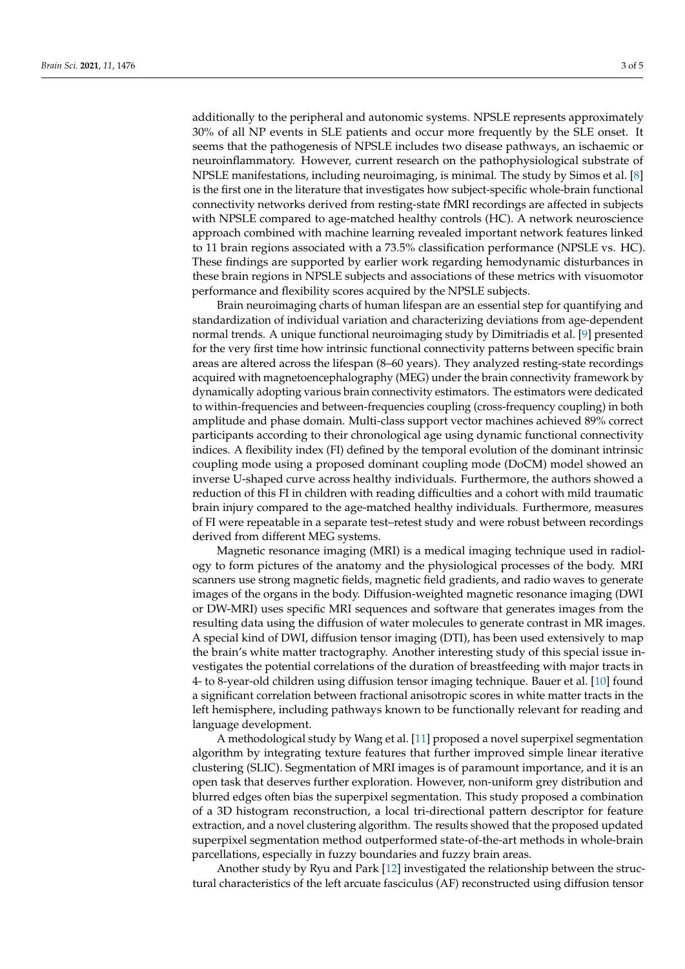additionally to the peripheral and autonomic systems. NPSLE represents approximately 30% of all NP events in SLE patients and occur more frequently by the SLE onset. It seems that the pathogenesis of NPSLE includes two disease pathways, an ischaemic or neuroinflammatory. However, current research on the pathophysiological substrate of NPSLE manifestations, including neuroimaging, is minimal. The study by Simos et al. [\[8\]](#page-4-7) is the first one in the literature that investigates how subject-specific whole-brain functional connectivity networks derived from resting-state fMRI recordings are affected in subjects with NPSLE compared to age-matched healthy controls (HC). A network neuroscience approach combined with machine learning revealed important network features linked to 11 brain regions associated with a 73.5% classification performance (NPSLE vs. HC). These findings are supported by earlier work regarding hemodynamic disturbances in these brain regions in NPSLE subjects and associations of these metrics with visuomotor performance and flexibility scores acquired by the NPSLE subjects.

Brain neuroimaging charts of human lifespan are an essential step for quantifying and standardization of individual variation and characterizing deviations from age-dependent normal trends. A unique functional neuroimaging study by Dimitriadis et al. [\[9\]](#page-4-8) presented for the very first time how intrinsic functional connectivity patterns between specific brain areas are altered across the lifespan (8–60 years). They analyzed resting-state recordings acquired with magnetoencephalography (MEG) under the brain connectivity framework by dynamically adopting various brain connectivity estimators. The estimators were dedicated to within-frequencies and between-frequencies coupling (cross-frequency coupling) in both amplitude and phase domain. Multi-class support vector machines achieved 89% correct participants according to their chronological age using dynamic functional connectivity indices. A flexibility index (FI) defined by the temporal evolution of the dominant intrinsic coupling mode using a proposed dominant coupling mode (DoCM) model showed an inverse U-shaped curve across healthy individuals. Furthermore, the authors showed a reduction of this FI in children with reading difficulties and a cohort with mild traumatic brain injury compared to the age-matched healthy individuals. Furthermore, measures of FI were repeatable in a separate test–retest study and were robust between recordings derived from different MEG systems.

Magnetic resonance imaging (MRI) is a medical imaging technique used in radiology to form pictures of the anatomy and the physiological processes of the body. MRI scanners use strong magnetic fields, magnetic field gradients, and radio waves to generate images of the organs in the body. Diffusion-weighted magnetic resonance imaging (DWI or DW-MRI) uses specific MRI sequences and software that generates images from the resulting data using the diffusion of water molecules to generate contrast in MR images. A special kind of DWI, diffusion tensor imaging (DTI), has been used extensively to map the brain's white matter tractography. Another interesting study of this special issue investigates the potential correlations of the duration of breastfeeding with major tracts in 4- to 8-year-old children using diffusion tensor imaging technique. Bauer et al. [\[10\]](#page-4-9) found a significant correlation between fractional anisotropic scores in white matter tracts in the left hemisphere, including pathways known to be functionally relevant for reading and language development.

A methodological study by Wang et al. [\[11\]](#page-4-10) proposed a novel superpixel segmentation algorithm by integrating texture features that further improved simple linear iterative clustering (SLIC). Segmentation of MRI images is of paramount importance, and it is an open task that deserves further exploration. However, non-uniform grey distribution and blurred edges often bias the superpixel segmentation. This study proposed a combination of a 3D histogram reconstruction, a local tri-directional pattern descriptor for feature extraction, and a novel clustering algorithm. The results showed that the proposed updated superpixel segmentation method outperformed state-of-the-art methods in whole-brain parcellations, especially in fuzzy boundaries and fuzzy brain areas.

Another study by Ryu and Park [\[12\]](#page-4-11) investigated the relationship between the structural characteristics of the left arcuate fasciculus (AF) reconstructed using diffusion tensor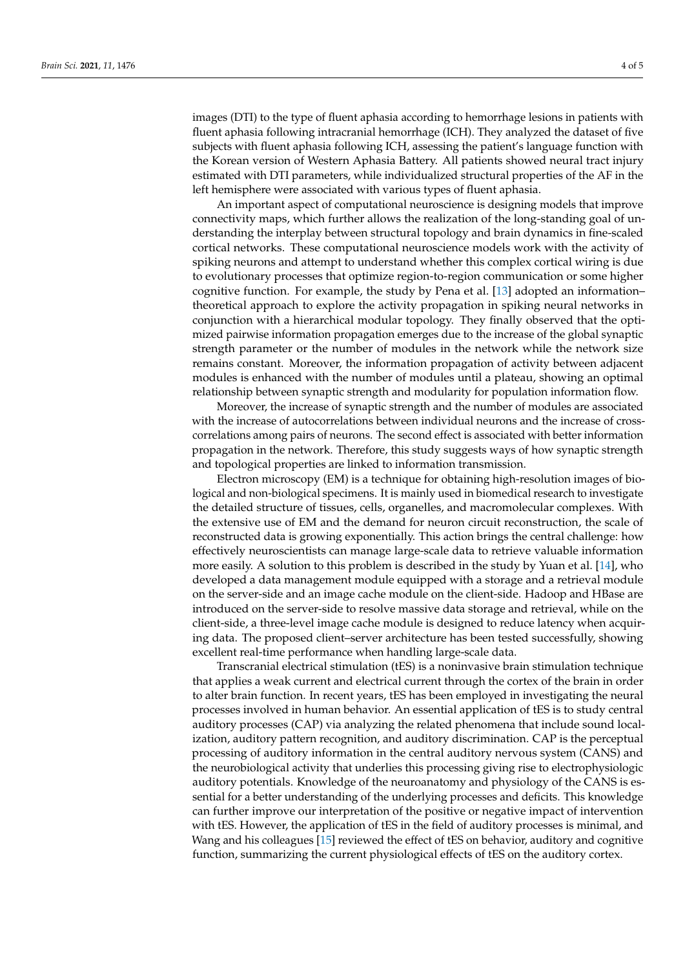images (DTI) to the type of fluent aphasia according to hemorrhage lesions in patients with fluent aphasia following intracranial hemorrhage (ICH). They analyzed the dataset of five subjects with fluent aphasia following ICH, assessing the patient's language function with the Korean version of Western Aphasia Battery. All patients showed neural tract injury estimated with DTI parameters, while individualized structural properties of the AF in the left hemisphere were associated with various types of fluent aphasia.

An important aspect of computational neuroscience is designing models that improve connectivity maps, which further allows the realization of the long-standing goal of understanding the interplay between structural topology and brain dynamics in fine-scaled cortical networks. These computational neuroscience models work with the activity of spiking neurons and attempt to understand whether this complex cortical wiring is due to evolutionary processes that optimize region-to-region communication or some higher cognitive function. For example, the study by Pena et al. [\[13\]](#page-4-12) adopted an information– theoretical approach to explore the activity propagation in spiking neural networks in conjunction with a hierarchical modular topology. They finally observed that the optimized pairwise information propagation emerges due to the increase of the global synaptic strength parameter or the number of modules in the network while the network size remains constant. Moreover, the information propagation of activity between adjacent modules is enhanced with the number of modules until a plateau, showing an optimal relationship between synaptic strength and modularity for population information flow.

Moreover, the increase of synaptic strength and the number of modules are associated with the increase of autocorrelations between individual neurons and the increase of crosscorrelations among pairs of neurons. The second effect is associated with better information propagation in the network. Therefore, this study suggests ways of how synaptic strength and topological properties are linked to information transmission.

Electron microscopy (EM) is a technique for obtaining high-resolution images of biological and non-biological specimens. It is mainly used in biomedical research to investigate the detailed structure of tissues, cells, organelles, and macromolecular complexes. With the extensive use of EM and the demand for neuron circuit reconstruction, the scale of reconstructed data is growing exponentially. This action brings the central challenge: how effectively neuroscientists can manage large-scale data to retrieve valuable information more easily. A solution to this problem is described in the study by Yuan et al. [\[14\]](#page-4-13), who developed a data management module equipped with a storage and a retrieval module on the server-side and an image cache module on the client-side. Hadoop and HBase are introduced on the server-side to resolve massive data storage and retrieval, while on the client-side, a three-level image cache module is designed to reduce latency when acquiring data. The proposed client–server architecture has been tested successfully, showing excellent real-time performance when handling large-scale data.

Transcranial electrical stimulation (tES) is a noninvasive brain stimulation technique that applies a weak current and electrical current through the cortex of the brain in order to alter brain function. In recent years, tES has been employed in investigating the neural processes involved in human behavior. An essential application of tES is to study central auditory processes (CAP) via analyzing the related phenomena that include sound localization, auditory pattern recognition, and auditory discrimination. CAP is the perceptual processing of auditory information in the central auditory nervous system (CANS) and the neurobiological activity that underlies this processing giving rise to electrophysiologic auditory potentials. Knowledge of the neuroanatomy and physiology of the CANS is essential for a better understanding of the underlying processes and deficits. This knowledge can further improve our interpretation of the positive or negative impact of intervention with tES. However, the application of tES in the field of auditory processes is minimal, and Wang and his colleagues [\[15\]](#page-4-14) reviewed the effect of tES on behavior, auditory and cognitive function, summarizing the current physiological effects of tES on the auditory cortex.